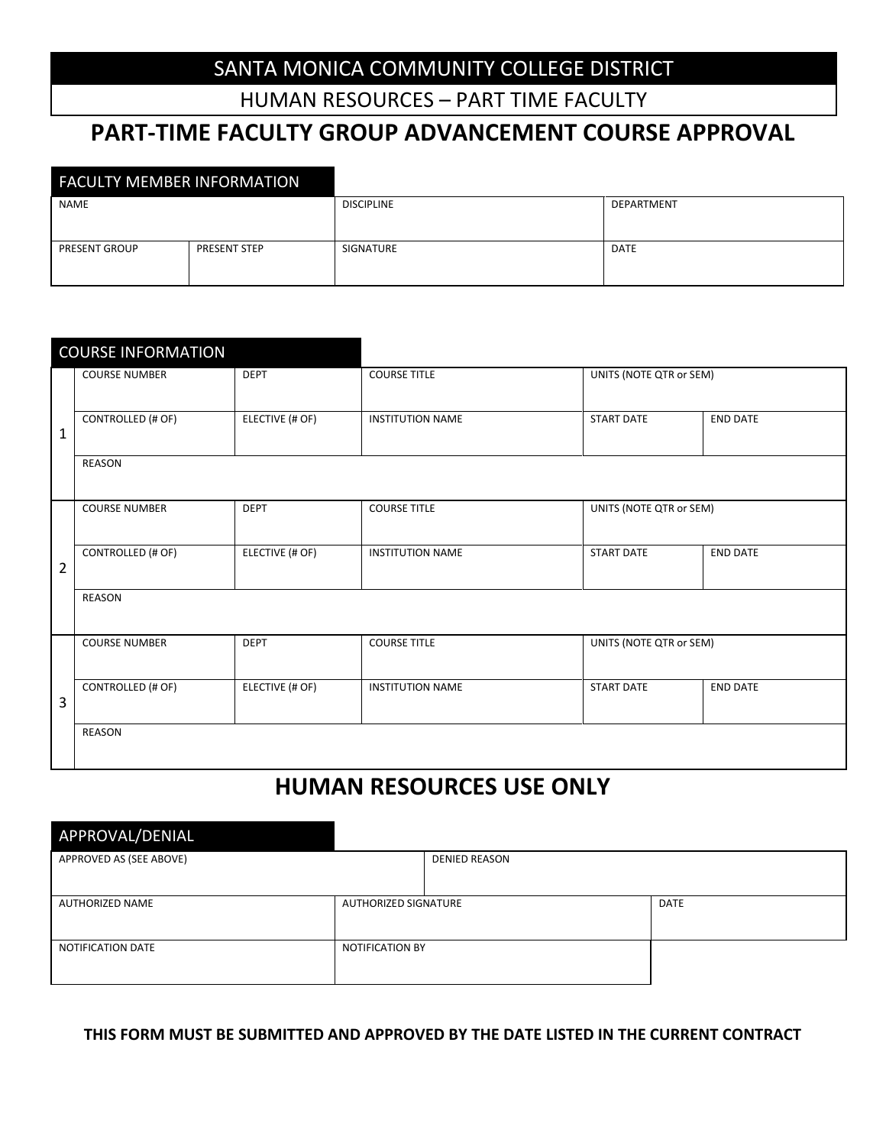### SANTA MONICA COMMUNITY COLLEGE DISTRICT

HUMAN RESOURCES – PART TIME FACULTY

# **PART-TIME FACULTY GROUP ADVANCEMENT COURSE APPROVAL**

| <b>FACULTY MEMBER INFORMATION</b> |                     |                   |             |
|-----------------------------------|---------------------|-------------------|-------------|
| <b>NAME</b>                       |                     | <b>DISCIPLINE</b> | DEPARTMENT  |
|                                   |                     |                   |             |
| <b>PRESENT GROUP</b>              | <b>PRESENT STEP</b> | SIGNATURE         | <b>DATE</b> |
|                                   |                     |                   |             |
|                                   |                     |                   |             |

|              | <b>COURSE INFORMATION</b> |                 |                         |                         |                 |  |  |
|--------------|---------------------------|-----------------|-------------------------|-------------------------|-----------------|--|--|
|              | <b>COURSE NUMBER</b>      | <b>DEPT</b>     | <b>COURSE TITLE</b>     | UNITS (NOTE QTR or SEM) |                 |  |  |
| $\mathbf{1}$ | CONTROLLED (# OF)         | ELECTIVE (# OF) | <b>INSTITUTION NAME</b> | <b>START DATE</b>       | <b>END DATE</b> |  |  |
|              | REASON                    |                 |                         |                         |                 |  |  |
|              | <b>COURSE NUMBER</b>      | <b>DEPT</b>     | <b>COURSE TITLE</b>     | UNITS (NOTE QTR or SEM) |                 |  |  |
| 2            | CONTROLLED (# OF)         | ELECTIVE (# OF) | <b>INSTITUTION NAME</b> | <b>START DATE</b>       | <b>END DATE</b> |  |  |
|              | REASON                    |                 |                         |                         |                 |  |  |
|              | <b>COURSE NUMBER</b>      | <b>DEPT</b>     | <b>COURSE TITLE</b>     | UNITS (NOTE QTR or SEM) |                 |  |  |
| 3            | <b>CONTROLLED (# OF)</b>  | ELECTIVE (# OF) | <b>INSTITUTION NAME</b> | <b>START DATE</b>       | <b>END DATE</b> |  |  |
|              | REASON                    |                 |                         |                         |                 |  |  |

# **HUMAN RESOURCES USE ONLY**

| APPROVAL/DENIAL         |                        |                      |             |  |  |  |  |
|-------------------------|------------------------|----------------------|-------------|--|--|--|--|
| APPROVED AS (SEE ABOVE) |                        | <b>DENIED REASON</b> |             |  |  |  |  |
|                         |                        |                      |             |  |  |  |  |
| AUTHORIZED NAME         | AUTHORIZED SIGNATURE   |                      | <b>DATE</b> |  |  |  |  |
| NOTIFICATION DATE       | <b>NOTIFICATION BY</b> |                      |             |  |  |  |  |

#### **THIS FORM MUST BE SUBMITTED AND APPROVED BY THE DATE LISTED IN THE CURRENT CONTRACT**